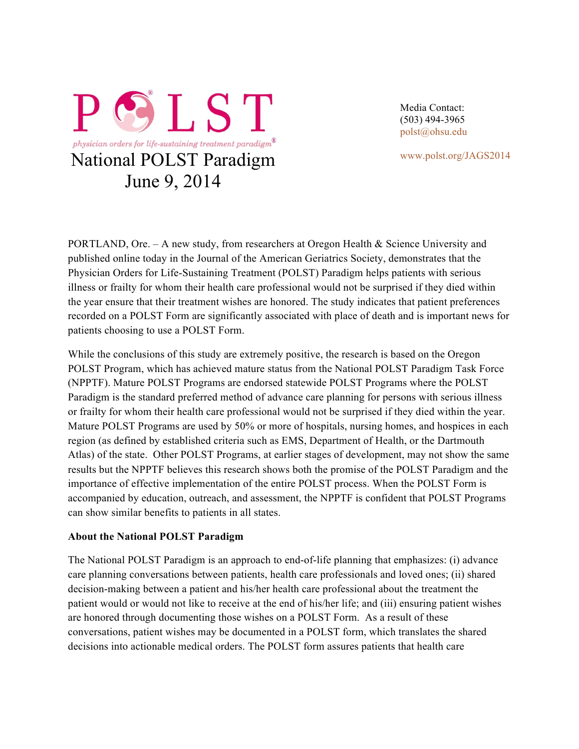

Media Contact: (503) 494-3965 polst@ohsu.edu

www.polst.org/JAGS2014

PORTLAND, Ore. – A new study, from researchers at Oregon Health & Science University and published online today in the Journal of the American Geriatrics Society, demonstrates that the Physician Orders for Life-Sustaining Treatment (POLST) Paradigm helps patients with serious illness or frailty for whom their health care professional would not be surprised if they died within the year ensure that their treatment wishes are honored. The study indicates that patient preferences recorded on a POLST Form are significantly associated with place of death and is important news for patients choosing to use a POLST Form.

While the conclusions of this study are extremely positive, the research is based on the Oregon POLST Program, which has achieved mature status from the National POLST Paradigm Task Force (NPPTF). Mature POLST Programs are endorsed statewide POLST Programs where the POLST Paradigm is the standard preferred method of advance care planning for persons with serious illness or frailty for whom their health care professional would not be surprised if they died within the year. Mature POLST Programs are used by 50% or more of hospitals, nursing homes, and hospices in each region (as defined by established criteria such as EMS, Department of Health, or the Dartmouth Atlas) of the state. Other POLST Programs, at earlier stages of development, may not show the same results but the NPPTF believes this research shows both the promise of the POLST Paradigm and the importance of effective implementation of the entire POLST process. When the POLST Form is accompanied by education, outreach, and assessment, the NPPTF is confident that POLST Programs can show similar benefits to patients in all states.

## **About the National POLST Paradigm**

The National POLST Paradigm is an approach to end-of-life planning that emphasizes: (i) advance care planning conversations between patients, health care professionals and loved ones; (ii) shared decision-making between a patient and his/her health care professional about the treatment the patient would or would not like to receive at the end of his/her life; and (iii) ensuring patient wishes are honored through documenting those wishes on a POLST Form. As a result of these conversations, patient wishes may be documented in a POLST form, which translates the shared decisions into actionable medical orders. The POLST form assures patients that health care